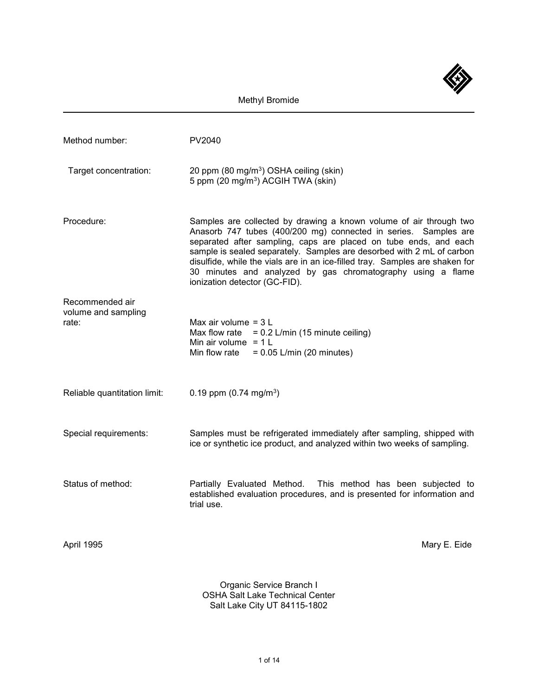

Organic Service Branch I OSHA Salt Lake Technical Center Salt Lake City UT 84115-1802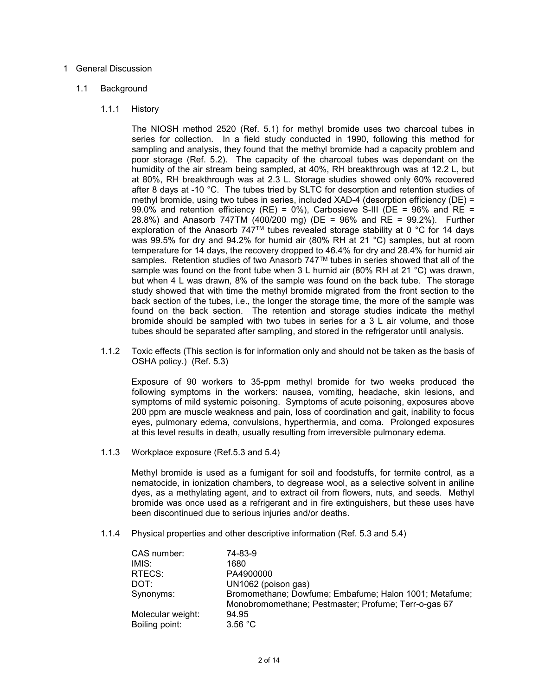### 1 General Discussion

### 1.1 Background

#### 1.1.1 History

The NIOSH method 2520 (Ref. 5.1) for methyl bromide uses two charcoal tubes in series for collection. In a field study conducted in 1990, following this method for sampling and analysis, they found that the methyl bromide had a capacity problem and poor storage (Ref. 5.2). The capacity of the charcoal tubes was dependant on the humidity of the air stream being sampled, at 40%, RH breakthrough was at 12.2 L, but at 80%, RH breakthrough was at 2.3 L. Storage studies showed only 60% recovered after 8 days at -10 °C. The tubes tried by SLTC for desorption and retention studies of methyl bromide, using two tubes in series, included  $XAD-4$  (desorption efficiency ( $DE$ ) = 99.0% and retention efficiency (RE) = 0%), Carbosieve S-III (DE = 96% and RE = 28.8%) and Anasorb 747TM (400/200 mg) (DE = 96% and RE = 99.2%). Further exploration of the Anasorb 747<sup>™</sup> tubes revealed storage stability at 0 °C for 14 days was 99.5% for dry and 94.2% for humid air (80% RH at 21 °C) samples, but at room temperature for 14 days, the recovery dropped to 46.4% for dry and 28.4% for humid air samples. Retention studies of two Anasorb 747™ tubes in series showed that all of the sample was found on the front tube when 3 L humid air (80% RH at 21 °C) was drawn, but when 4 L was drawn, 8% of the sample was found on the back tube. The storage study showed that with time the methyl bromide migrated from the front section to the back section of the tubes, i.e., the longer the storage time, the more of the sample was found on the back section. The retention and storage studies indicate the methyl bromide should be sampled with two tubes in series for a 3 L air volume, and those tubes should be separated after sampling, and stored in the refrigerator until analysis.

1.1.2 Toxic effects (This section is for information only and should not be taken as the basis of OSHA policy.) (Ref. 5.3)

Exposure of 90 workers to 35-ppm methyl bromide for two weeks produced the following symptoms in the workers: nausea, vomiting, headache, skin lesions, and symptoms of mild systemic poisoning. Symptoms of acute poisoning, exposures above 200 ppm are muscle weakness and pain, loss of coordination and gait, inability to focus eyes, pulmonary edema, convulsions, hyperthermia, and coma. Prolonged exposures at this level results in death, usually resulting from irreversible pulmonary edema.

1.1.3 Workplace exposure (Ref.5.3 and 5.4)

Methyl bromide is used as a fumigant for soil and foodstuffs, for termite control, as a nematocide, in ionization chambers, to degrease wool, as a selective solvent in aniline dyes, as a methylating agent, and to extract oil from flowers, nuts, and seeds. Methyl bromide was once used as a refrigerant and in fire extinguishers, but these uses have been discontinued due to serious injuries and/or deaths.

1.1.4 Physical properties and other descriptive information (Ref. 5.3 and 5.4)

| CAS number:       | 74-83-9                                                |
|-------------------|--------------------------------------------------------|
| IMIS:             | 1680                                                   |
| RTECS:            | PA4900000                                              |
| DOT:              | UN1062 (poison gas)                                    |
| Synonyms:         | Bromomethane; Dowfume; Embafume; Halon 1001; Metafume; |
|                   | Monobromomethane; Pestmaster; Profume; Terr-o-gas 67   |
| Molecular weight: | 94.95                                                  |
| Boiling point:    | 3.56 °C                                                |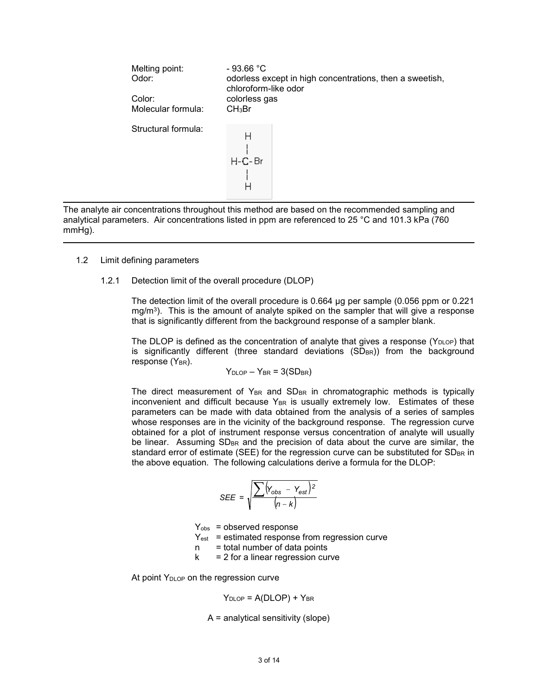| Melting point:<br>Odor:<br>Color:<br>Molecular formula: | $-93.66 °C$<br>odorless except in high concentrations, then a sweetish,<br>chloroform-like odor<br>colorless gas<br>CH <sub>3</sub> Br |
|---------------------------------------------------------|----------------------------------------------------------------------------------------------------------------------------------------|
| Structural formula:                                     | $H - C - Br$                                                                                                                           |

The analyte air concentrations throughout this method are based on the recommended sampling and analytical parameters. Air concentrations listed in ppm are referenced to 25 °C and 101.3 kPa (760 mmHg).

- 1.2 Limit defining parameters
	- 1.2.1 Detection limit of the overall procedure (DLOP)

The detection limit of the overall procedure is 0.664 µg per sample (0.056 ppm or 0.221  $mq/m<sup>3</sup>$ ). This is the amount of analyte spiked on the sampler that will give a response that is significantly different from the background response of a sampler blank.

The DLOP is defined as the concentration of analyte that gives a response ( $Y_{\text{DLOP}}$ ) that is significantly different (three standard deviations  $(SD_{BR})$ ) from the background response  $(Y_{BR})$ .

$$
Y_{\text{DLOP}} - Y_{\text{BR}} = 3(SD_{\text{BR}})
$$

The direct measurement of  $Y_{BR}$  and  $S_{BR}$  in chromatographic methods is typically inconvenient and difficult because  $Y_{BR}$  is usually extremely low. Estimates of these parameters can be made with data obtained from the analysis of a series of samples whose responses are in the vicinity of the background response. The regression curve obtained for a plot of instrument response versus concentration of analyte will usually be linear. Assuming  $SD_{BR}$  and the precision of data about the curve are similar, the standard error of estimate (SEE) for the regression curve can be substituted for  $SD_{BR}$  in the above equation. The following calculations derive a formula for the DLOP:

$$
SEE = \sqrt{\frac{\sum (Y_{obs} - Y_{est})^2}{(n - k)}}
$$

 $Y<sub>obs</sub>$  = observed response

 $Y_{est}$  = estimated response from regression curve

 $n =$  total number of data points

 $k = 2$  for a linear regression curve

At point  $Y_{\text{DLOP}}$  on the regression curve

$$
Y_{DLOP} = A(DLOP) + Y_{BR}
$$

A = analytical sensitivity (slope)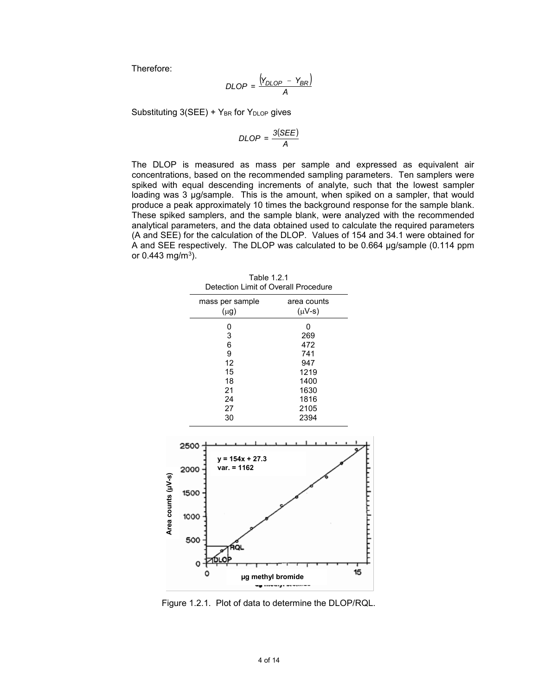Therefore:

$$
DLOP = \frac{(Y_{DLOP} - Y_{BR})}{A}
$$

Substituting  $3(SEE) + Y_{BR}$  for  $Y_{DLOP}$  gives

$$
DLOP = \frac{3(SEE)}{A}
$$

The DLOP is measured as mass per sample and expressed as equivalent air concentrations, based on the recommended sampling parameters. Ten samplers were spiked with equal descending increments of analyte, such that the lowest sampler loading was 3 µg/sample. This is the amount, when spiked on a sampler, that would produce a peak approximately 10 times the background response for the sample blank. These spiked samplers, and the sample blank, were analyzed with the recommended analytical parameters, and the data obtained used to calculate the required parameters (A and SEE) for the calculation of the DLOP. Values of 154 and 34.1 were obtained for A and SEE respectively. The DLOP was calculated to be 0.664 µg/sample (0.114 ppm or  $0.443$  mg/m<sup>3</sup>).



Table 1.2.1 Detection Limit of Overall Procedure

Figure 1.2.1. Plot of data to determine the DLOP/RQL.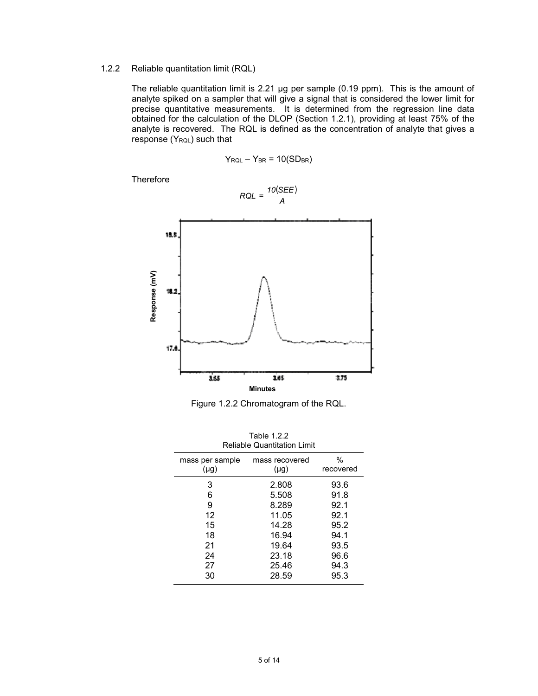# 1.2.2 Reliable quantitation limit (RQL)

The reliable quantitation limit is 2.21 µg per sample (0.19 ppm). This is the amount of analyte spiked on a sampler that will give a signal that is considered the lower limit for precise quantitative measurements. It is determined from the regression line data obtained for the calculation of the DLOP (Section 1.2.1), providing at least 75% of the analyte is recovered. The RQL is defined as the concentration of analyte that gives a response (YRQL) such that

$$
RQL = \frac{10(SEE)}{A}
$$

 $Y_{RQL} - Y_{BR} = 10(SD_{BR})$ 

**Therefore** 

Figure 1.2.2 Chromatogram of the RQL.

| 1 GUN 1.2.2<br><b>Reliable Quantitation Limit</b> |                |           |  |  |
|---------------------------------------------------|----------------|-----------|--|--|
| mass per sample                                   | mass recovered | %         |  |  |
| $(\mu g)$                                         | $(\mu g)$      | recovered |  |  |
| 3                                                 | 2.808          | 93.6      |  |  |
| 6                                                 | 5.508          | 91.8      |  |  |
| 9                                                 | 8.289          | 92.1      |  |  |
| 12                                                | 11.05          | 92.1      |  |  |
| 15                                                | 14.28          | 95.2      |  |  |
| 18                                                | 16.94          | 94.1      |  |  |
| 21                                                | 19.64          | 93.5      |  |  |
| 24                                                | 23.18          | 96.6      |  |  |
| 27                                                | 25.46          | 94.3      |  |  |
| 30                                                | 28.59          | 95.3      |  |  |

Table 1.2.2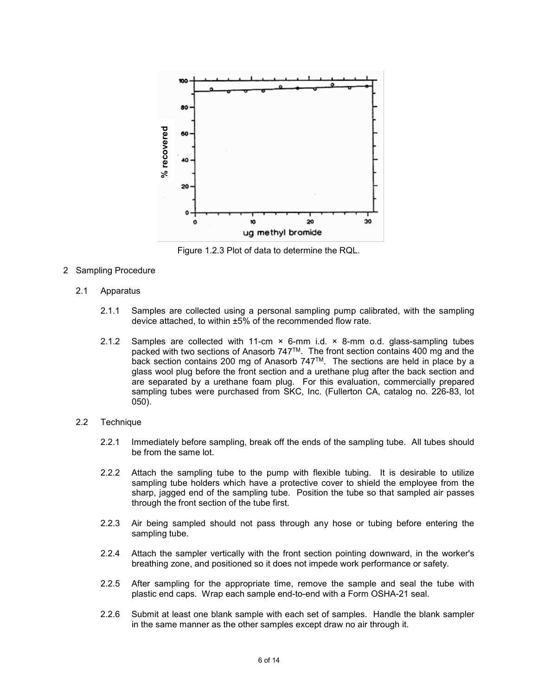

Figure 1.2.3 Plot of data to determine the RQL.

- 2 Sampling Procedure
	- 2.1 Apparatus
		- 2.1.1 Samples are collected using a personal sampling pump calibrated, with the sampling device attached, to within ±5% of the recommended flow rate.
		- 2.1.2 Samples are collected with 11-cm  $\times$  6-mm i.d.  $\times$  8-mm o.d. glass-sampling tubes packed with two sections of Anasorb 747™. The front section contains 400 mg and the back section contains 200 mg of Anasorb 747TM. The sections are held in place by a glass wool plug before the front section and a urethane plug after the back section and are separated by a urethane foam plug. For this evaluation, commercially prepared sampling tubes were purchased from SKC, Inc. (Fullerton CA, catalog no. 226-83, lot 050).
	- 2.2 Technique
		- 2.2.1 Immediately before sampling, break off the ends of the sampling tube. All tubes should be from the same lot.
		- 2.2.2 Attach the sampling tube to the pump with flexible tubing. It is desirable to utilize sampling tube holders which have a protective cover to shield the employee from the sharp, jagged end of the sampling tube. Position the tube so that sampled air passes through the front section of the tube first.
		- 2.2.3 Air being sampled should not pass through any hose or tubing before entering the sampling tube.
		- 2.2.4 Attach the sampler vertically with the front section pointing downward, in the worker's breathing zone, and positioned so it does not impede work performance or safety.
		- 2.2.5 After sampling for the appropriate time, remove the sample and seal the tube with plastic end caps. Wrap each sample end-to-end with a Form OSHA-21 seal.
		- 2.2.6 Submit at least one blank sample with each set of samples. Handle the blank sampler in the same manner as the other samples except draw no air through it.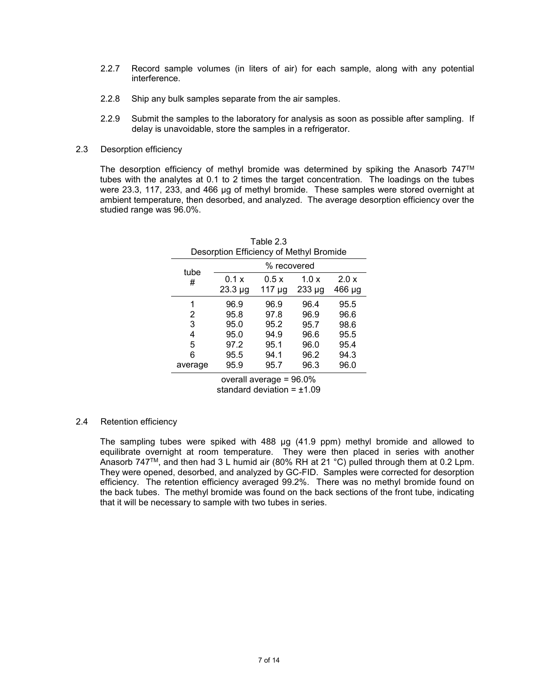- 2.2.7 Record sample volumes (in liters of air) for each sample, along with any potential interference.
- 2.2.8 Ship any bulk samples separate from the air samples.
- 2.2.9 Submit the samples to the laboratory for analysis as soon as possible after sampling. If delay is unavoidable, store the samples in a refrigerator.
- 2.3 Desorption efficiency

The desorption efficiency of methyl bromide was determined by spiking the Anasorb 747™ tubes with the analytes at 0.1 to 2 times the target concentration. The loadings on the tubes were 23.3, 117, 233, and 466 µg of methyl bromide. These samples were stored overnight at ambient temperature, then desorbed, and analyzed. The average desorption efficiency over the studied range was 96.0%.

| Table 2.3<br>Desorption Efficiency of Methyl Bromide |                       |                     |                     |                 |
|------------------------------------------------------|-----------------------|---------------------|---------------------|-----------------|
| tube                                                 |                       | % recovered         |                     |                 |
| #                                                    | 0.1 x<br>$23.3 \mu g$ | 0.5x<br>$117 \mu g$ | 1.0x<br>$233 \mu g$ | 2.0 x<br>466 µg |
| 1                                                    | 96.9                  | 96.9                | 96.4                | 95.5            |
| 2                                                    | 95.8                  | 97.8                | 96.9                | 96.6            |
| 3                                                    | 95.0                  | 95.2                | 95.7                | 98.6            |
| 4                                                    | 95.0                  | 94.9                | 96.6                | 95.5            |
| 5                                                    | 97.2                  | 95.1                | 96.0                | 95.4            |
| 6                                                    | 95.5                  | 94.1                | 96.2                | 94.3            |
| average                                              | 95.9                  | 95.7                | 96.3                | 96.0            |

overall average = 96.0% standard deviation  $= \pm 1.09$ 

# 2.4 Retention efficiency

The sampling tubes were spiked with 488 µg (41.9 ppm) methyl bromide and allowed to equilibrate overnight at room temperature. They were then placed in series with another Anasorb 747<sup>TM</sup>, and then had 3 L humid air (80% RH at 21 °C) pulled through them at 0.2 Lpm. They were opened, desorbed, and analyzed by GC-FID. Samples were corrected for desorption efficiency. The retention efficiency averaged 99.2%. There was no methyl bromide found on the back tubes. The methyl bromide was found on the back sections of the front tube, indicating that it will be necessary to sample with two tubes in series.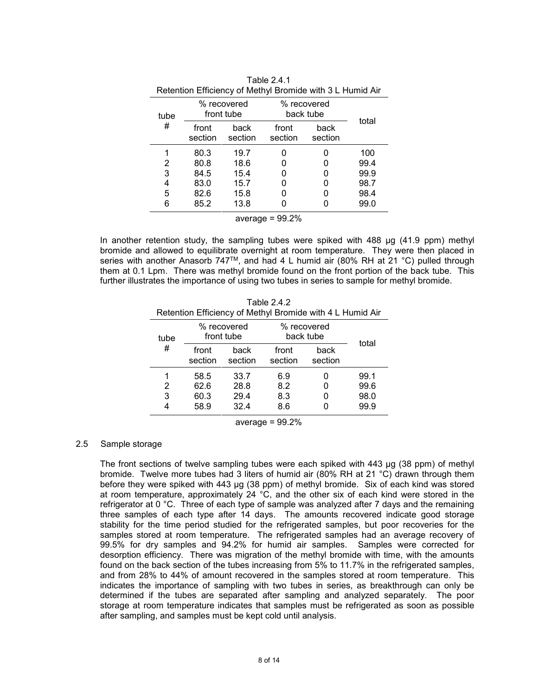| $\sim$ . The control of the control of the control of $\sim$ the control of $\sim$ |                           |                 |                          |                 |       |
|------------------------------------------------------------------------------------|---------------------------|-----------------|--------------------------|-----------------|-------|
| tube                                                                               | % recovered<br>front tube |                 | % recovered<br>back tube |                 | total |
| #                                                                                  | front<br>section          | back<br>section | front<br>section         | back<br>section |       |
|                                                                                    | 80.3                      | 19.7            | U                        | 0               | 100   |
| 2                                                                                  | 80.8                      | 18.6            | 0                        | O               | 99.4  |
| 3                                                                                  | 84.5                      | 15.4            | 0                        | 0               | 99.9  |
| 4                                                                                  | 83.0                      | 15.7            | 0                        | 0               | 98.7  |
| 5                                                                                  | 82.6                      | 15.8            | 0                        | 0               | 98.4  |
| 6                                                                                  | 85.2                      | 13.8            |                          |                 | 99.0  |
|                                                                                    |                           |                 |                          |                 |       |

|             | Table 2.4.1                                               |
|-------------|-----------------------------------------------------------|
|             | Retention Efficiency of Methyl Bromide with 3 L Humid Air |
| % recovered | % recovered                                               |

average  $= 99.2%$ 

In another retention study, the sampling tubes were spiked with 488 µg (41.9 ppm) methyl bromide and allowed to equilibrate overnight at room temperature. They were then placed in series with another Anasorb 747™, and had 4 L humid air (80% RH at 21 °C) pulled through them at 0.1 Lpm. There was methyl bromide found on the front portion of the back tube. This further illustrates the importance of using two tubes in series to sample for methyl bromide.

| Table 2.4.2                                               |
|-----------------------------------------------------------|
| Retention Efficiency of Methyl Bromide with 4 L Humid Air |

| tube | % recovered<br>front tube |                 | % recovered<br>back tube |                 |              |
|------|---------------------------|-----------------|--------------------------|-----------------|--------------|
| #    | front<br>section          | back<br>section | front<br>section         | back<br>section | total        |
| 2    | 58.5<br>62.6              | 33.7<br>28.8    | 6.9<br>8.2               |                 | 99.1<br>99.6 |
| 3    | 60.3<br>58.9              | 29.4<br>324     | 8.3<br>8.6               |                 | 98.0<br>99.9 |

average  $= 99.2%$ 

### 2.5 Sample storage

The front sections of twelve sampling tubes were each spiked with 443 µg (38 ppm) of methyl bromide. Twelve more tubes had 3 liters of humid air (80% RH at 21 °C) drawn through them before they were spiked with 443 µg (38 ppm) of methyl bromide. Six of each kind was stored at room temperature, approximately 24 °C, and the other six of each kind were stored in the refrigerator at 0 °C. Three of each type of sample was analyzed after 7 days and the remaining three samples of each type after 14 days. The amounts recovered indicate good storage stability for the time period studied for the refrigerated samples, but poor recoveries for the samples stored at room temperature. The refrigerated samples had an average recovery of 99.5% for dry samples and 94.2% for humid air samples. Samples were corrected for desorption efficiency. There was migration of the methyl bromide with time, with the amounts found on the back section of the tubes increasing from 5% to 11.7% in the refrigerated samples, and from 28% to 44% of amount recovered in the samples stored at room temperature. This indicates the importance of sampling with two tubes in series, as breakthrough can only be determined if the tubes are separated after sampling and analyzed separately. The poor storage at room temperature indicates that samples must be refrigerated as soon as possible after sampling, and samples must be kept cold until analysis.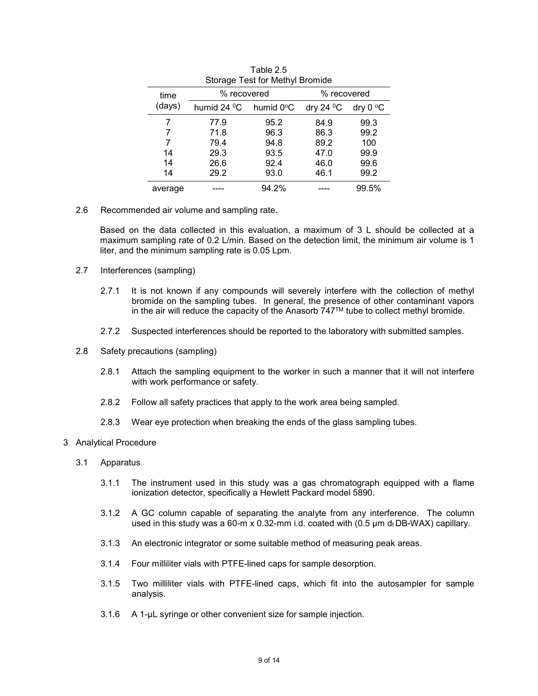| Storage Test for Methyl Bromide |             |                        |               |            |
|---------------------------------|-------------|------------------------|---------------|------------|
| time                            | % recovered |                        | % recovered   |            |
| (days)                          | humid 24 °C | humid 0 <sup>o</sup> C | dry 24 $^0$ C | dry $0 °C$ |
| 7                               | 77.9        | 95.2                   | 84.9          | 99.3       |
|                                 | 71.8        | 96.3                   | 86.3          | 99.2       |
| 7                               | 79.4        | 94.8                   | 89.2          | 100        |
| 14                              | 29.3        | 93.5                   | 47.0          | 99.9       |
| 14                              | 26.6        | 92.4                   | 46.0          | 99.6       |
| 14                              | 29.2        | 93.0                   | 46.1          | 99.2       |
| average                         |             | 94.2%                  |               | 99.5%      |

Table 2.5

2.6 Recommended air volume and sampling rate.

Based on the data collected in this evaluation, a maximum of 3 L should be collected at a maximum sampling rate of 0.2 L/min. Based on the detection limit, the minimum air volume is 1 liter, and the minimum sampling rate is 0.05 Lpm.

- 2.7 Interferences (sampling)
	- 2.7.1 It is not known if any compounds will severely interfere with the collection of methyl bromide on the sampling tubes. In general, the presence of other contaminant vapors in the air will reduce the capacity of the Anasorb  $747<sup>TM</sup>$  tube to collect methyl bromide.
	- 2.7.2 Suspected interferences should be reported to the laboratory with submitted samples.
- 2.8 Safety precautions (sampling)
	- 2.8.1 Attach the sampling equipment to the worker in such a manner that it will not interfere with work performance or safety.
	- 2.8.2 Follow all safety practices that apply to the work area being sampled.
	- 2.8.3 Wear eye protection when breaking the ends of the glass sampling tubes.
- 3 Analytical Procedure
	- 3.1 Apparatus
		- 3.1.1 The instrument used in this study was a gas chromatograph equipped with a flame ionization detector, specifically a Hewlett Packard model 5890.
		- 3.1.2 A GC column capable of separating the analyte from any interference. The column used in this study was a 60-m x 0.32-mm i.d. coated with  $(0.5 \,\mu\text{m})$  d<sub>f</sub> DB-WAX) capillary.
		- 3.1.3 An electronic integrator or some suitable method of measuring peak areas.
		- 3.1.4 Four milliliter vials with PTFE-lined caps for sample desorption.
		- 3.1.5 Two milliliter vials with PTFE-lined caps, which fit into the autosampler for sample analysis.
		- 3.1.6 A 1-µL syringe or other convenient size for sample injection.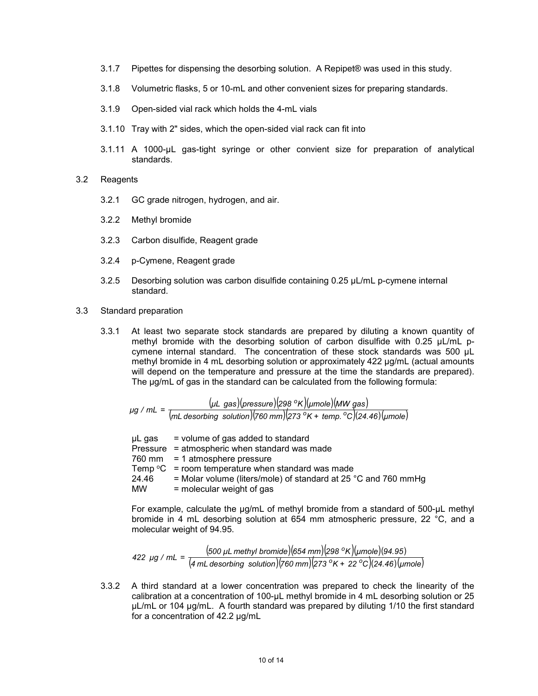- 3.1.7 Pipettes for dispensing the desorbing solution. A Repipet® was used in this study.
- 3.1.8 Volumetric flasks, 5 or 10-mL and other convenient sizes for preparing standards.
- 3.1.9 Open-sided vial rack which holds the 4-mL vials
- 3.1.10 Tray with 2" sides, which the open-sided vial rack can fit into
- 3.1.11 A 1000-µL gas-tight syringe or other convient size for preparation of analytical standards.
- 3.2 Reagents
	- 3.2.1 GC grade nitrogen, hydrogen, and air.
	- 3.2.2 Methyl bromide
	- 3.2.3 Carbon disulfide, Reagent grade
	- 3.2.4 p-Cymene, Reagent grade
	- 3.2.5 Desorbing solution was carbon disulfide containing 0.25 µL/mL p-cymene internal standard.
- 3.3 Standard preparation
	- 3.3.1 At least two separate stock standards are prepared by diluting a known quantity of methyl bromide with the desorbing solution of carbon disulfide with 0.25 µL/mL pcymene internal standard. The concentration of these stock standards was 500 µL methyl bromide in 4 mL desorbing solution or approximately 422 µg/mL (actual amounts will depend on the temperature and pressure at the time the standards are prepared). The µg/mL of gas in the standard can be calculated from the following formula:

(µL\_gas)(pressure)(298 °K)(µmole)(MW gas) (*mL desorbing solution*)( ) *760 mm* (*273 K temp. C*)( ) *24.46* ( ) *μmole <sup>μ</sup><sup>L</sup> gas pressure <sup>298</sup> <sup>K</sup> <sup>μ</sup> MWmole gas <sup>μ</sup> mL/g <sup>o</sup> <sup>o</sup> o*  $=\frac{1}{\sqrt{mL}} \frac{1}{\sqrt{mL}} \frac{1}{\sqrt{mL}} \frac{1}{\sqrt{mL}} \frac{1}{\sqrt{mL}} \frac{1}{\sqrt{mL}} \frac{1}{\sqrt{mL}} \frac{1}{\sqrt{mL}} \frac{1}{\sqrt{mL}} \frac{1}{\sqrt{mL}} \frac{1}{\sqrt{mL}} \frac{1}{\sqrt{mL}} \frac{1}{\sqrt{mL}} \frac{1}{\sqrt{mL}} \frac{1}{\sqrt{mL}} \frac{1}{\sqrt{mL}} \frac{1}{\sqrt{mL}} \frac{1}{\sqrt{mL}} \frac{1}{\sqrt{mL}} \frac{1}{\sqrt{mL}}$ 

 $\mu$ L gas = volume of gas added to standard Pressure = atmospheric when standard was made 760 mm = 1 atmosphere pressure Temp  $\mathrm{^{\circ}C^{-}}$  = room temperature when standard was made 24.46 = Molar volume (liters/mole) of standard at 25 °C and 760 mmHg MW = molecular weight of gas  $=$  molecular weight of gas

For example, calculate the µg/mL of methyl bromide from a standard of 500-µL methyl bromide in 4 mL desorbing solution at 654 mm atmospheric pressure, 22 °C, and a molecular weight of 94.95.

500 µL methyl bromide)(654 mm)(298 °K)(µmole)(94.95) ( *mL4 desorbing solution*)( ) *760 mm* (*273 K 22 C*)( ) *24.46* ( ) *μmole 500 μ methylL bromide 654 mm 298 K μmole 94.95 422 μ mL/g <sup>o</sup> <sup>o</sup> o*  $=\frac{1}{(4 mL$  desorbing solution)(760 mm)(273 °K +

3.3.2 A third standard at a lower concentration was prepared to check the linearity of the calibration at a concentration of 100-µL methyl bromide in 4 mL desorbing solution or 25 µL/mL or 104 µg/mL. A fourth standard was prepared by diluting 1/10 the first standard for a concentration of 42.2 µg/mL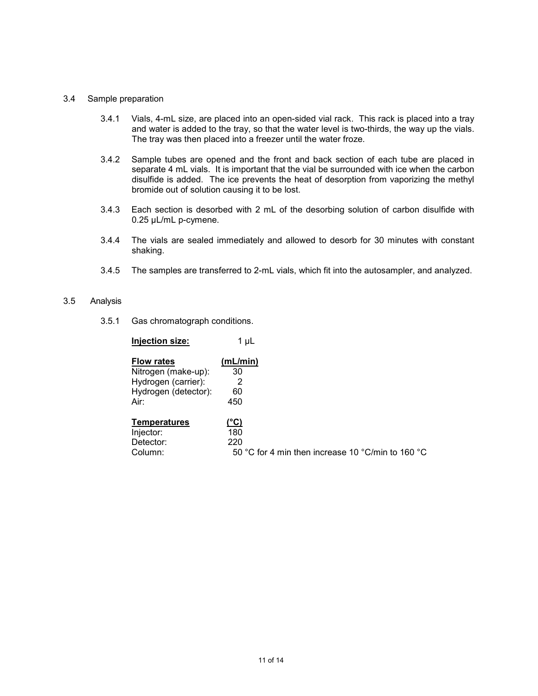#### 3.4 Sample preparation

- 3.4.1 Vials, 4-mL size, are placed into an open-sided vial rack. This rack is placed into a tray and water is added to the tray, so that the water level is two-thirds, the way up the vials. The tray was then placed into a freezer until the water froze.
- 3.4.2 Sample tubes are opened and the front and back section of each tube are placed in separate 4 mL vials. It is important that the vial be surrounded with ice when the carbon disulfide is added. The ice prevents the heat of desorption from vaporizing the methyl bromide out of solution causing it to be lost.
- 3.4.3 Each section is desorbed with 2 mL of the desorbing solution of carbon disulfide with 0.25 µL/mL p-cymene.
- 3.4.4 The vials are sealed immediately and allowed to desorb for 30 minutes with constant shaking.
- 3.4.5 The samples are transferred to 2-mL vials, which fit into the autosampler, and analyzed.

## 3.5 Analysis

3.5.1 Gas chromatograph conditions.

| <b>Injection size:</b> | 1 µL                                              |
|------------------------|---------------------------------------------------|
| <b>Flow rates</b>      | (mL/min)                                          |
| Nitrogen (make-up):    | 30                                                |
| Hydrogen (carrier):    | 2                                                 |
| Hydrogen (detector):   | 60                                                |
| Air:                   | 450                                               |
| <b>Temperatures</b>    | (°C)                                              |
| Injector:              | 180                                               |
| Detector:              | 220                                               |
| Column:                | 50 °C for 4 min then increase 10 °C/min to 160 °C |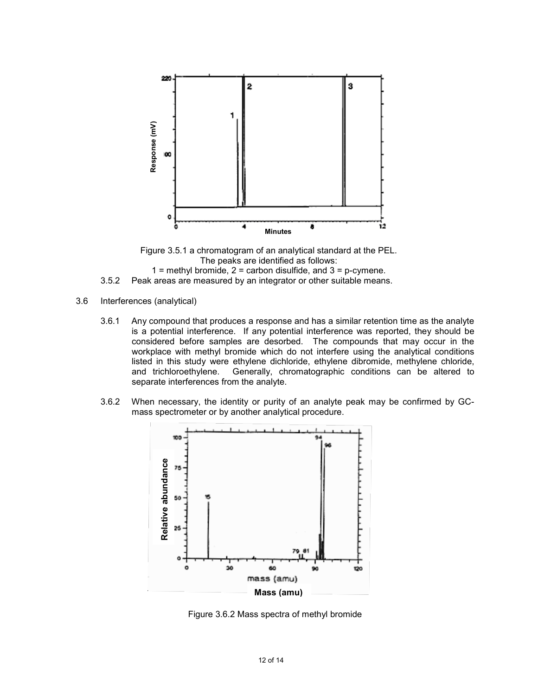

Figure 3.5.1 a chromatogram of an analytical standard at the PEL. The peaks are identified as follows:

 $1$  = methyl bromide,  $2$  = carbon disulfide, and  $3$  = p-cymene.

3.5.2 Peak areas are measured by an integrator or other suitable means.

- 3.6 Interferences (analytical)
	- 3.6.1 Any compound that produces a response and has a similar retention time as the analyte is a potential interference. If any potential interference was reported, they should be considered before samples are desorbed. The compounds that may occur in the workplace with methyl bromide which do not interfere using the analytical conditions listed in this study were ethylene dichloride, ethylene dibromide, methylene chloride, and trichloroethylene. Generally, chromatographic conditions can be altered to separate interferences from the analyte.
	- 3.6.2 When necessary, the identity or purity of an analyte peak may be confirmed by GCmass spectrometer or by another analytical procedure.



Figure 3.6.2 Mass spectra of methyl bromide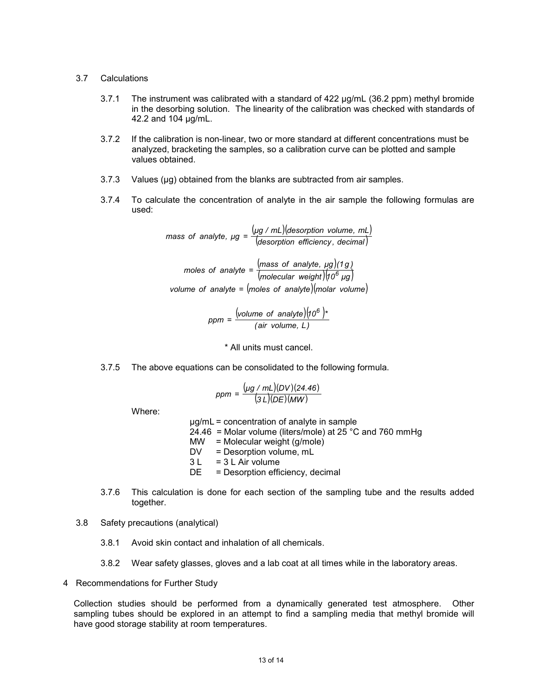#### 3.7 Calculations

- 3.7.1 The instrument was calibrated with a standard of 422 µg/mL (36.2 ppm) methyl bromide in the desorbing solution. The linearity of the calibration was checked with standards of 42.2 and 104 µg/mL.
- 3.7.2 If the calibration is non-linear, two or more standard at different concentrations must be analyzed, bracketing the samples, so a calibration curve can be plotted and sample values obtained.
- 3.7.3 Values ( $\mu$ g) obtained from the blanks are subtracted from air samples.
- 3.7.4 To calculate the concentration of analyte in the air sample the following formulas are used:

 $(\mu g \nmid mL)$  (desorption volume, mL) (*desorption efficiency , decimal*) *μg / mL desorption volume, mL mass of analyte, μg* =

(mass of analyte,  $\mu g$ )  $m$ oles of analyte =  $\frac{(mass\; of\; analyze\; of\; 10)}{(molecular\; weight)(10^6\; \mu g)}$ *volume* of *analyte* =  $(moles$  *of analyte* $)(m)$ 

> (volume of analyte) $(10^6)$  $ppm = \frac{(volume \space of \space analyze)(10^6)}{(air \space volume, \space L)}$ =

> > \* All units must cancel.

3.7.5 The above equations can be consolidated to the following formula.

$$
ppm = \frac{(\mu g / mL)(DV)(24.46)}{(3L)(DE)(MW)}
$$

Where:

µg/mL = concentration of analyte in sample

- 24.46 = Molar volume (liters/mole) at 25 °C and 760 mmHg
- $MW = Molecular weight (g/mole)$ <br> $DV = Desorption volume. mL$
- $=$  Desorption volume, mL
- $3 L = 3 L$  Air volume
- DE = Desorption efficiency, decimal
- 3.7.6 This calculation is done for each section of the sampling tube and the results added together.
- 3.8 Safety precautions (analytical)
	- 3.8.1 Avoid skin contact and inhalation of all chemicals.
	- 3.8.2 Wear safety glasses, gloves and a lab coat at all times while in the laboratory areas.
- 4 Recommendations for Further Study

Collection studies should be performed from a dynamically generated test atmosphere. Other sampling tubes should be explored in an attempt to find a sampling media that methyl bromide will have good storage stability at room temperatures.